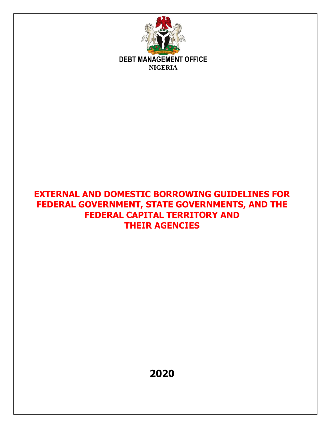

# **EXTERNAL AND DOMESTIC BORROWING GUIDELINES FOR FEDERAL GOVERNMENT, STATE GOVERNMENTS, AND THE FEDERAL CAPITAL TERRITORY AND THEIR AGENCIES**

**2020**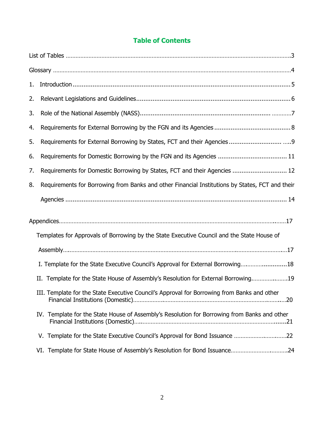## **Table of Contents**

| $1 -$ |                                                                                                 |
|-------|-------------------------------------------------------------------------------------------------|
| 2.    |                                                                                                 |
| 3.    |                                                                                                 |
| 4.    |                                                                                                 |
| 5.    |                                                                                                 |
| 6.    |                                                                                                 |
| 7.    | Requirements for Domestic Borrowing by States, FCT and their Agencies  12                       |
| 8.    | Requirements for Borrowing from Banks and other Financial Institutions by States, FCT and their |
|       |                                                                                                 |
|       |                                                                                                 |
|       | Templates for Approvals of Borrowing by the State Executive Council and the State House of      |
|       |                                                                                                 |
|       | I. Template for the State Executive Council's Approval for External Borrowing18                 |
|       | II. Template for the State House of Assembly's Resolution for External Borrowing19              |
|       | III. Template for the State Executive Council's Approval for Borrowing from Banks and other     |
|       | IV. Template for the State House of Assembly's Resolution for Borrowing from Banks and other    |
|       |                                                                                                 |
|       | VI. Template for State House of Assembly's Resolution for Bond Issuance24                       |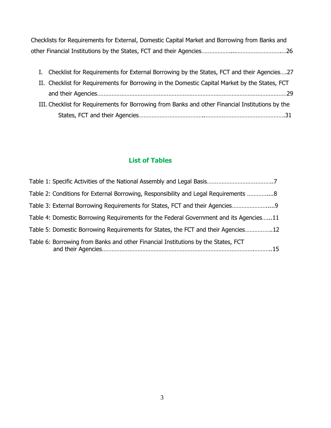| Checklists for Requirements for External, Domestic Capital Market and Borrowing from Banks and |  |
|------------------------------------------------------------------------------------------------|--|
|                                                                                                |  |

| I. Checklist for Requirements for External Borrowing by the States, FCT and their Agencies27     |  |
|--------------------------------------------------------------------------------------------------|--|
| II. Checklist for Requirements for Borrowing in the Domestic Capital Market by the States, FCT   |  |
|                                                                                                  |  |
| III. Checklist for Requirements for Borrowing from Banks and other Financial Institutions by the |  |
|                                                                                                  |  |

## **List of Tables**

| Table 2: Conditions for External Borrowing, Responsibility and Legal Requirements  8   |  |
|----------------------------------------------------------------------------------------|--|
| Table 3: External Borrowing Requirements for States, FCT and their Agencies            |  |
| Table 4: Domestic Borrowing Requirements for the Federal Government and its Agencies11 |  |
| Table 5: Domestic Borrowing Requirements for States, the FCT and their Agencies12      |  |
| Table 6: Borrowing from Banks and other Financial Institutions by the States, FCT      |  |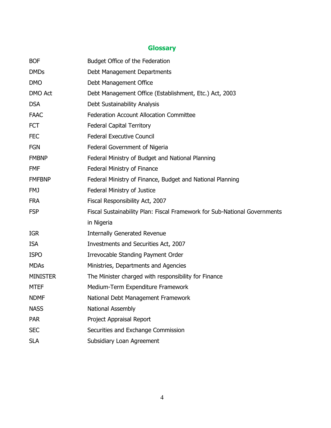## **Glossary**

| <b>BOF</b>      | Budget Office of the Federation                                           |
|-----------------|---------------------------------------------------------------------------|
| <b>DMDs</b>     | Debt Management Departments                                               |
| <b>DMO</b>      | Debt Management Office                                                    |
| <b>DMO Act</b>  | Debt Management Office (Establishment, Etc.) Act, 2003                    |
| <b>DSA</b>      | Debt Sustainability Analysis                                              |
| <b>FAAC</b>     | <b>Federation Account Allocation Committee</b>                            |
| <b>FCT</b>      | <b>Federal Capital Territory</b>                                          |
| <b>FEC</b>      | <b>Federal Executive Council</b>                                          |
| <b>FGN</b>      | Federal Government of Nigeria                                             |
| <b>FMBNP</b>    | Federal Ministry of Budget and National Planning                          |
| <b>FMF</b>      | Federal Ministry of Finance                                               |
| <b>FMFBNP</b>   | Federal Ministry of Finance, Budget and National Planning                 |
| <b>FMJ</b>      | <b>Federal Ministry of Justice</b>                                        |
| <b>FRA</b>      | Fiscal Responsibility Act, 2007                                           |
| <b>FSP</b>      | Fiscal Sustainability Plan: Fiscal Framework for Sub-National Governments |
|                 | in Nigeria                                                                |
| <b>IGR</b>      | <b>Internally Generated Revenue</b>                                       |
| <b>ISA</b>      | Investments and Securities Act, 2007                                      |
| <b>ISPO</b>     | Irrevocable Standing Payment Order                                        |
| <b>MDAs</b>     | Ministries, Departments and Agencies                                      |
| <b>MINISTER</b> | The Minister charged with responsibility for Finance                      |
| <b>MTEF</b>     | Medium-Term Expenditure Framework                                         |
| <b>NDMF</b>     | National Debt Management Framework                                        |
| <b>NASS</b>     | National Assembly                                                         |
| <b>PAR</b>      | Project Appraisal Report                                                  |
| <b>SEC</b>      | Securities and Exchange Commission                                        |
| <b>SLA</b>      | Subsidiary Loan Agreement                                                 |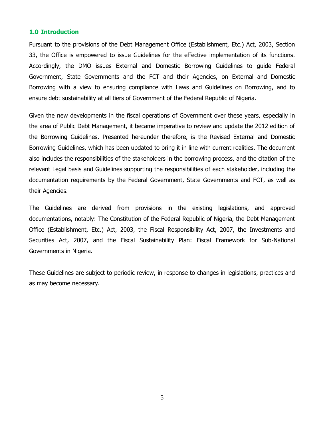#### <span id="page-4-0"></span>**1.0 Introduction**

Pursuant to the provisions of the Debt Management Office (Establishment, Etc.) Act, 2003, Section 33, the Office is empowered to issue Guidelines for the effective implementation of its functions. Accordingly, the DMO issues External and Domestic Borrowing Guidelines to guide Federal Government, State Governments and the FCT and their Agencies, on External and Domestic Borrowing with a view to ensuring compliance with Laws and Guidelines on Borrowing, and to ensure debt sustainability at all tiers of Government of the Federal Republic of Nigeria.

Given the new developments in the fiscal operations of Government over these years, especially in the area of Public Debt Management, it became imperative to review and update the 2012 edition of the Borrowing Guidelines. Presented hereunder therefore, is the Revised External and Domestic Borrowing Guidelines, which has been updated to bring it in line with current realities. The document also includes the responsibilities of the stakeholders in the borrowing process, and the citation of the relevant Legal basis and Guidelines supporting the responsibilities of each stakeholder, including the documentation requirements by the Federal Government, State Governments and FCT, as well as their Agencies.

The Guidelines are derived from provisions in the existing legislations, and approved documentations, notably: The Constitution of the Federal Republic of Nigeria, the Debt Management Office (Establishment, Etc.) Act, 2003, the Fiscal Responsibility Act, 2007, the Investments and Securities Act, 2007, and the Fiscal Sustainability Plan: Fiscal Framework for Sub-National Governments in Nigeria.

These Guidelines are subject to periodic review, in response to changes in legislations, practices and as may become necessary.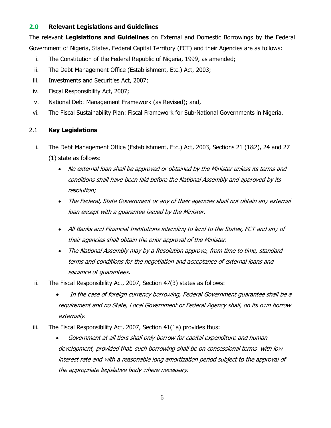### <span id="page-5-0"></span>**2.0 Relevant Legislations and Guidelines**

The relevant **Legislations and Guidelines** on External and Domestic Borrowings by the Federal Government of Nigeria, States, Federal Capital Territory (FCT) and their Agencies are as follows:

- i. The Constitution of the Federal Republic of Nigeria, 1999, as amended;
- ii. The Debt Management Office (Establishment, Etc.) Act, 2003;
- iii. Investments and Securities Act, 2007;
- iv. Fiscal Responsibility Act, 2007;
- v. National Debt Management Framework (as Revised); and,
- vi. The Fiscal Sustainability Plan: Fiscal Framework for Sub-National Governments in Nigeria.

#### 2.1 **Key Legislations**

- i. The Debt Management Office (Establishment, Etc.) Act, 2003, Sections 21 (1&2), 24 and 27 (1) state as follows:
	- No external loan shall be approved or obtained by the Minister unless its terms and conditions shall have been laid before the National Assembly and approved by its resolution;
	- The Federal, State Government or any of their agencies shall not obtain any external loan except with a guarantee issued by the Minister.
	- All Banks and Financial Institutions intending to lend to the States, FCT and any of their agencies shall obtain the prior approval of the Minister.
	- The National Assembly may by a Resolution approve, from time to time, standard terms and conditions for the negotiation and acceptance of external loans and issuance of guarantees.
- ii. The Fiscal Responsibility Act, 2007, Section 47(3) states as follows:
	- In the case of foreign currency borrowing, Federal Government guarantee shall be a requirement and no State, Local Government or Federal Agency shall, on its own borrow externally*.*
- iii. The Fiscal Responsibility Act, 2007, Section 41(1a) provides thus:
	- Government at all tiers shall only borrow for capital expenditure and human development, provided that, such borrowing shall be on concessional terms with low interest rate and with a reasonable long amortization period subject to the approval of the appropriate legislative body where necessary.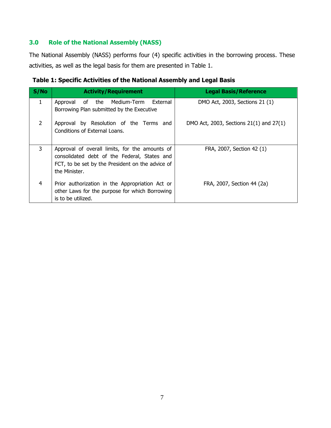## <span id="page-6-0"></span>**3.0 Role of the National Assembly (NASS)**

The National Assembly (NASS) performs four (4) specific activities in the borrowing process. These activities, as well as the legal basis for them are presented in Table 1.

| S/No          | <b>Activity/Requirement</b>                                                                                                                                         | <b>Legal Basis/Reference</b>            |
|---------------|---------------------------------------------------------------------------------------------------------------------------------------------------------------------|-----------------------------------------|
| 1             | Approval of the Medium-Term External<br>Borrowing Plan submitted by the Executive                                                                                   | DMO Act, 2003, Sections 21 (1)          |
| $\mathcal{P}$ | Approval by Resolution of the Terms and<br>Conditions of External Loans.                                                                                            | DMO Act, 2003, Sections 21(1) and 27(1) |
| 3             | Approval of overall limits, for the amounts of<br>consolidated debt of the Federal, States and<br>FCT, to be set by the President on the advice of<br>the Minister. | FRA, 2007, Section 42 (1)               |
| 4             | Prior authorization in the Appropriation Act or<br>other Laws for the purpose for which Borrowing<br>is to be utilized.                                             | FRA, 2007, Section 44 (2a)              |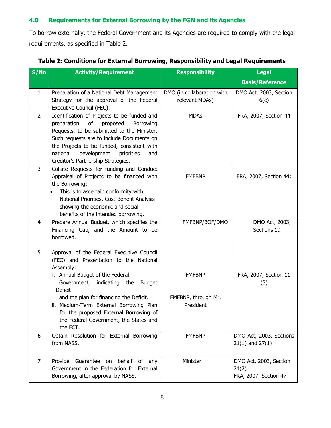## <span id="page-7-0"></span>**4.0 Requirements for External Borrowing by the FGN and its Agencies**

To borrow externally, the Federal Government and its Agencies are required to comply with the legal requirements, as specified in Table 2.

| S/No           | <b>Activity/Requirement</b>                                                                                                                                                                                                                                                                                              | <b>Responsibility</b>                        | <b>Legal</b>                                             |
|----------------|--------------------------------------------------------------------------------------------------------------------------------------------------------------------------------------------------------------------------------------------------------------------------------------------------------------------------|----------------------------------------------|----------------------------------------------------------|
|                |                                                                                                                                                                                                                                                                                                                          |                                              | <b>Basis/Reference</b>                                   |
| 1              | Preparation of a National Debt Management<br>Strategy for the approval of the Federal<br>Executive Council (FEC).                                                                                                                                                                                                        | DMO (in collaboration with<br>relevant MDAs) | DMO Act, 2003, Section<br>6(c)                           |
| $\overline{2}$ | Identification of Projects to be funded and<br>preparation<br>of<br>proposed<br>Borrowing<br>Requests, to be submitted to the Minister.<br>Such requests are to include Documents on<br>the Projects to be funded, consistent with<br>national<br>development<br>priorities<br>and<br>Creditor's Partnership Strategies. | <b>MDAs</b>                                  | FRA, 2007, Section 44                                    |
| 3              | Collate Requests for funding and Conduct<br>Appraisal of Projects to be financed with<br>the Borrowing:<br>This is to ascertain conformity with<br>$\bullet$<br>National Priorities, Cost-Benefit Analysis<br>showing the economic and social<br>benefits of the intended borrowing.                                     | <b>FMFBNP</b>                                | FRA, 2007, Section 44;                                   |
| 4              | Prepare Annual Budget, which specifies the<br>Financing Gap, and the Amount to be<br>borrowed.                                                                                                                                                                                                                           | FMFBNP/BOF/DMO                               | DMO Act, 2003,<br>Sections 19                            |
| 5              | Approval of the Federal Executive Council<br>(FEC) and Presentation to the National<br>Assembly:<br>i. Annual Budget of the Federal<br>Government, indicating the<br><b>Budget</b><br><b>Deficit</b>                                                                                                                     | <b>FMFBNP</b>                                | FRA, 2007, Section 11<br>(3)                             |
|                | and the plan for financing the Deficit.<br>ii. Medium-Term External Borrowing Plan<br>for the proposed External Borrowing of<br>the Federal Government, the States and<br>the FCT.                                                                                                                                       | FMFBNP, through Mr.<br>President             |                                                          |
| 6              | Obtain Resolution for External Borrowing<br>from NASS.                                                                                                                                                                                                                                                                   | <b>FMFBNP</b>                                | DMO Act, 2003, Sections<br>$21(1)$ and $27(1)$           |
| 7              | behalf of any<br>Provide Guarantee on<br>Government in the Federation for External<br>Borrowing, after approval by NASS.                                                                                                                                                                                                 | Minister                                     | DMO Act, 2003, Section<br>21(2)<br>FRA, 2007, Section 47 |

### **Table 2: Conditions for External Borrowing, Responsibility and Legal Requirements**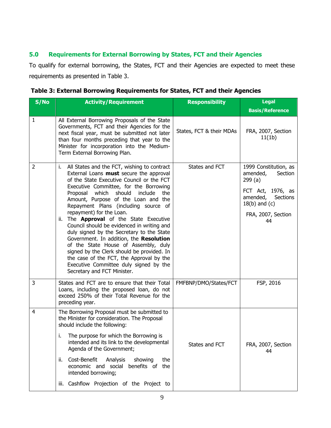## <span id="page-8-0"></span>**5.0 Requirements for External Borrowing by States, FCT and their Agencies**

To qualify for external borrowing, the States, FCT and their Agencies are expected to meet these requirements as presented in Table 3.

| <b>Responsibility</b><br><b>Legal</b>                                                                                                                                  |
|------------------------------------------------------------------------------------------------------------------------------------------------------------------------|
| <b>Basis/Reference</b>                                                                                                                                                 |
| States, FCT & their MDAs<br>FRA, 2007, Section<br>11(1b)                                                                                                               |
| States and FCT<br>1999 Constitution, as<br>amended,<br>Section<br>299(a)<br>FCT Act, 1976, as<br>amended,<br>Sections<br>$18(b)$ and $(c)$<br>FRA, 2007, Section<br>44 |
| FSP, 2016<br>FMFBNP/DMO/States/FCT                                                                                                                                     |
| States and FCT<br>FRA, 2007, Section<br>44                                                                                                                             |
|                                                                                                                                                                        |

| Table 3: External Borrowing Requirements for States, FCT and their Agencies |  |
|-----------------------------------------------------------------------------|--|
|                                                                             |  |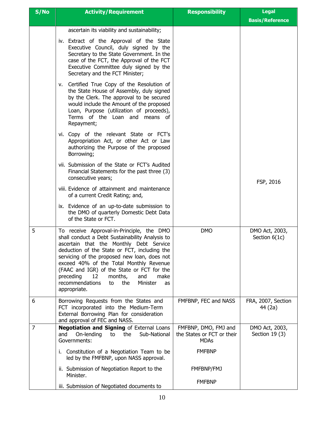| S/No           | <b>Activity/Requirement</b>                                                                                                                                                                                                                                                                                                                                                                                                                     | <b>Responsibility</b>                                             | <b>Legal</b><br><b>Basis/Reference</b> |
|----------------|-------------------------------------------------------------------------------------------------------------------------------------------------------------------------------------------------------------------------------------------------------------------------------------------------------------------------------------------------------------------------------------------------------------------------------------------------|-------------------------------------------------------------------|----------------------------------------|
|                | ascertain its viability and sustainability;                                                                                                                                                                                                                                                                                                                                                                                                     |                                                                   |                                        |
|                | iv. Extract of the Approval of the State<br>Executive Council, duly signed by the<br>Secretary to the State Government. In the<br>case of the FCT, the Approval of the FCT<br>Executive Committee duly signed by the<br>Secretary and the FCT Minister;                                                                                                                                                                                         |                                                                   |                                        |
|                | v. Certified True Copy of the Resolution of<br>the State House of Assembly, duly signed<br>by the Clerk. The approval to be secured<br>would include the Amount of the proposed<br>Loan, Purpose (utilization of proceeds),<br>Terms of the Loan and means of<br>Repayment;                                                                                                                                                                     |                                                                   |                                        |
|                | vi. Copy of the relevant State or FCT's<br>Appropriation Act, or other Act or Law<br>authorizing the Purpose of the proposed<br>Borrowing;                                                                                                                                                                                                                                                                                                      |                                                                   |                                        |
|                | vii. Submission of the State or FCT's Audited<br>Financial Statements for the past three (3)<br>consecutive years;                                                                                                                                                                                                                                                                                                                              |                                                                   | FSP, 2016                              |
|                | viii. Evidence of attainment and maintenance<br>of a current Credit Rating; and,                                                                                                                                                                                                                                                                                                                                                                |                                                                   |                                        |
|                | ix. Evidence of an up-to-date submission to<br>the DMO of quarterly Domestic Debt Data<br>of the State or FCT.                                                                                                                                                                                                                                                                                                                                  |                                                                   |                                        |
| 5              | To receive Approval-in-Principle, the DMO<br>shall conduct a Debt Sustainability Analysis to<br>ascertain that the Monthly Debt Service<br>deduction of the State or FCT, including the<br>servicing of the proposed new loan, does not<br>exceed 40% of the Total Monthly Revenue<br>(FAAC and IGR) of the State or FCT for the<br>preceding<br>12<br>months,<br>and<br>make<br>recommendations<br>the<br>Minister<br>to<br>as<br>appropriate. | <b>DMO</b>                                                        | DMO Act, 2003,<br>Section $6(1c)$      |
| 6              | Borrowing Requests from the States and<br>FCT incorporated into the Medium-Term<br>External Borrowing Plan for consideration<br>and approval of FEC and NASS.                                                                                                                                                                                                                                                                                   | FMFBNP, FEC and NASS                                              | FRA, 2007, Section<br>44 (2a)          |
| $\overline{7}$ | <b>Negotiation and Signing of External Loans</b><br>On-lending<br>the<br>Sub-National<br>and<br>to<br>Governments:                                                                                                                                                                                                                                                                                                                              | FMFBNP, DMO, FMJ and<br>the States or FCT or their<br><b>MDAs</b> | DMO Act, 2003,<br>Section $19(3)$      |
|                | i. Constitution of a Negotiation Team to be<br>led by the FMFBNP, upon NASS approval.                                                                                                                                                                                                                                                                                                                                                           | <b>FMFBNP</b>                                                     |                                        |
|                | ii. Submission of Negotiation Report to the<br>Minister.                                                                                                                                                                                                                                                                                                                                                                                        | FMFBNP/FMJ                                                        |                                        |
|                | iii. Submission of Negotiated documents to                                                                                                                                                                                                                                                                                                                                                                                                      | <b>FMFBNP</b>                                                     |                                        |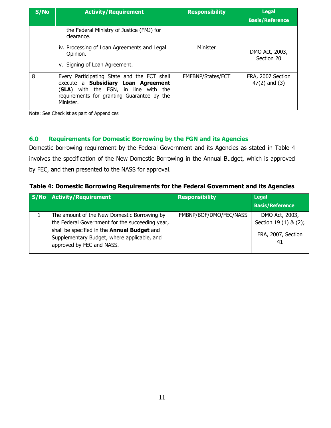| S/No | <b>Activity/Requirement</b>                                                                                                                                                           | <b>Responsibility</b> | <b>Legal</b><br><b>Basis/Reference</b> |
|------|---------------------------------------------------------------------------------------------------------------------------------------------------------------------------------------|-----------------------|----------------------------------------|
|      | the Federal Ministry of Justice (FMJ) for<br>clearance.<br>iv. Processing of Loan Agreements and Legal<br>Opinion.<br>v. Signing of Loan Agreement.                                   | Minister              | DMO Act, 2003,<br>Section 20           |
| 8    | Every Participating State and the FCT shall<br>execute a Subsidiary Loan Agreement<br>(SLA) with the FGN, in line with the<br>requirements for granting Guarantee by the<br>Minister. | FMFBNP/States/FCT     | FRA, 2007 Section<br>$47(2)$ and $(3)$ |

<span id="page-10-0"></span>Note: See Checklist as part of Appendices

#### **6.0 Requirements for Domestic Borrowing by the FGN and its Agencies**

Domestic borrowing requirement by the Federal Government and its Agencies as stated in Table 4 involves the specification of the New Domestic Borrowing in the Annual Budget, which is approved by FEC, and then presented to the NASS for approval.

#### **Table 4: Domestic Borrowing Requirements for the Federal Government and its Agencies**

| S/No Activity/Requirement                                                                                                                                                                                                 | <b>Responsibility</b>  | <b>Legal</b>                                                        |
|---------------------------------------------------------------------------------------------------------------------------------------------------------------------------------------------------------------------------|------------------------|---------------------------------------------------------------------|
|                                                                                                                                                                                                                           |                        | <b>Basis/Reference</b>                                              |
| The amount of the New Domestic Borrowing by<br>the Federal Government for the succeeding year,<br>shall be specified in the Annual Budget and<br>Supplementary Budget, where applicable, and<br>approved by FEC and NASS. | FMBNP/BOF/DMO/FEC/NASS | DMO Act, 2003,<br>Section 19 (1) & (2);<br>FRA, 2007, Section<br>41 |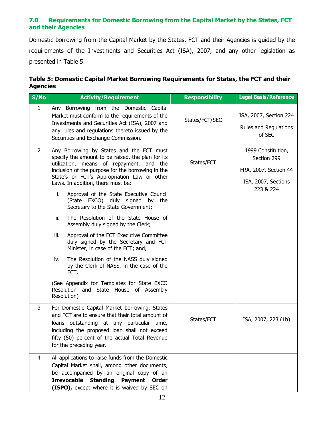### <span id="page-11-0"></span>**7.0 Requirements for Domestic Borrowing from the Capital Market by the States, FCT and their Agencies**

Domestic borrowing from the Capital Market by the States, FCT and their Agencies is guided by the requirements of the Investments and Securities Act (ISA), 2007, and any other legislation as presented in Table 5.

#### **Table 5: Domestic Capital Market Borrowing Requirements for States, the FCT and their Agencies**

| S/NO         | <b>Activity/Requirement</b>                                                                                                                                                                                                                                                                                                                                                                                                                                                                                                                                                                                                                                                                                                                                                                                                                    | <b>Responsibility</b> | <b>Legal Basis/Reference</b>                                                                   |
|--------------|------------------------------------------------------------------------------------------------------------------------------------------------------------------------------------------------------------------------------------------------------------------------------------------------------------------------------------------------------------------------------------------------------------------------------------------------------------------------------------------------------------------------------------------------------------------------------------------------------------------------------------------------------------------------------------------------------------------------------------------------------------------------------------------------------------------------------------------------|-----------------------|------------------------------------------------------------------------------------------------|
| $\mathbf{1}$ | Any Borrowing from the Domestic Capital<br>Market must conform to the requirements of the<br>Investments and Securities Act (ISA), 2007 and<br>any rules and regulations thereto issued by the<br>Securities and Exchange Commission.                                                                                                                                                                                                                                                                                                                                                                                                                                                                                                                                                                                                          | States/FCT/SEC        | ISA, 2007, Section 224<br>Rules and Regulations<br>of SEC                                      |
| 2            | Any Borrowing by States and the FCT must<br>specify the amount to be raised, the plan for its<br>utilization, means of repayment, and the<br>inclusion of the purpose for the borrowing in the<br>State's or FCT's Appropriation Law or other<br>Laws. In addition, there must be:<br>i.<br>Approval of the State Executive Council<br>(State EXCO) duly signed by the<br>Secretary to the State Government;<br>The Resolution of the State House of<br>ii.<br>Assembly duly signed by the Clerk;<br>Approval of the FCT Executive Committee<br>iii.<br>duly signed by the Secretary and FCT<br>Minister, in case of the FCT; and,<br>The Resolution of the NASS duly signed<br>iv.<br>by the Clerk of NASS, in the case of the<br>FCT.<br>(See Appendix for Templates for State EXCO<br>Resolution and State House of Assembly<br>Resolution) | States/FCT            | 1999 Constitution,<br>Section 299<br>FRA, 2007, Section 44<br>ISA, 2007, Sections<br>223 & 224 |
| 3            | For Domestic Capital Market borrowing, States<br>and FCT are to ensure that their total amount of<br>loans outstanding at any particular time,<br>including the proposed loan shall not exceed<br>fifty (50) percent of the actual Total Revenue<br>for the preceding year.                                                                                                                                                                                                                                                                                                                                                                                                                                                                                                                                                                    | States/FCT            | ISA, 2007, 223 (1b)                                                                            |
| 4            | All applications to raise funds from the Domestic<br>Capital Market shall, among other documents,<br>be accompanied by an original copy of an<br><b>Irrevocable</b><br><b>Standing</b><br><b>Payment</b><br>Order<br>(ISPO), except where it is waived by SEC on                                                                                                                                                                                                                                                                                                                                                                                                                                                                                                                                                                               |                       |                                                                                                |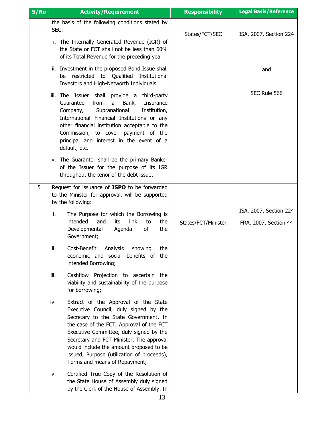| S/No | <b>Activity/Requirement</b>                                                                                                                                                                                                                                                                                                                                                                | <b>Responsibility</b> | <b>Legal Basis/Reference</b>                    |
|------|--------------------------------------------------------------------------------------------------------------------------------------------------------------------------------------------------------------------------------------------------------------------------------------------------------------------------------------------------------------------------------------------|-----------------------|-------------------------------------------------|
|      | the basis of the following conditions stated by<br>SEC:                                                                                                                                                                                                                                                                                                                                    | States/FCT/SEC        | ISA, 2007, Section 224                          |
|      | The Internally Generated Revenue (IGR) of<br>i.<br>the State or FCT shall not be less than 60%<br>of its Total Revenue for the preceding year.                                                                                                                                                                                                                                             |                       |                                                 |
|      | ii. Investment in the proposed Bond Issue shall<br>be restricted to Qualified<br>Institutional<br>Investors and High-Networth Individuals.                                                                                                                                                                                                                                                 |                       | and                                             |
|      | The Issuer shall<br>provide a third-party<br>iii.<br>Guarantee<br>from<br>Bank,<br>Insurance<br>a<br>Supranational<br>Institution,<br>Company,<br>International Financial Institutions or any<br>other financial institution acceptable to the<br>Commission, to cover payment of the<br>principal and interest in the event of a<br>default, etc.                                         |                       | SEC Rule 566                                    |
|      | iv. The Guarantor shall be the primary Banker<br>of the Issuer for the purpose of its IGR<br>throughout the tenor of the debt issue.                                                                                                                                                                                                                                                       |                       |                                                 |
| 5    | Request for issuance of ISPO to be forwarded<br>to the Minister for approval, will be supported<br>by the following:                                                                                                                                                                                                                                                                       |                       |                                                 |
|      | i.<br>The Purpose for which the Borrowing is<br>intended<br>link<br>and<br>its<br>the<br>to<br>Developmental<br>оf<br>Agenda<br>the<br>Government;                                                                                                                                                                                                                                         | States/FCT/Minister   | ISA, 2007, Section 224<br>FRA, 2007, Section 44 |
|      | Cost-Benefit<br>showing<br>ii.<br>Analysis<br>the<br>economic and social benefits of the<br>intended Borrowing;                                                                                                                                                                                                                                                                            |                       |                                                 |
|      | Cashflow Projection to ascertain the<br>iii.<br>viability and sustainability of the purpose<br>for borrowing;                                                                                                                                                                                                                                                                              |                       |                                                 |
|      | Extract of the Approval of the State<br>iv.<br>Executive Council, duly signed by the<br>Secretary to the State Government. In<br>the case of the FCT, Approval of the FCT<br>Executive Committee, duly signed by the<br>Secretary and FCT Minister. The approval<br>would include the amount proposed to be<br>issued, Purpose (utilization of proceeds),<br>Terms and means of Repayment; |                       |                                                 |
|      | Certified True Copy of the Resolution of<br>ν.<br>the State House of Assembly duly signed<br>by the Clerk of the House of Assembly. In                                                                                                                                                                                                                                                     |                       |                                                 |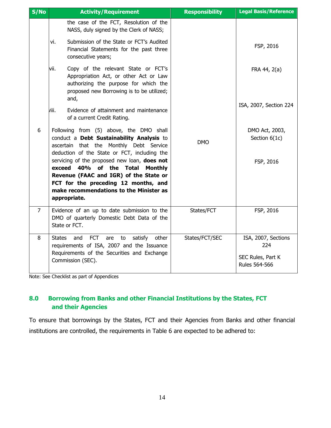| S/No           | <b>Activity/Requirement</b>                                                                                                                                                                                                               | <b>Responsibility</b> | <b>Legal Basis/Reference</b>                                     |
|----------------|-------------------------------------------------------------------------------------------------------------------------------------------------------------------------------------------------------------------------------------------|-----------------------|------------------------------------------------------------------|
|                | the case of the FCT, Resolution of the<br>NASS, duly signed by the Clerk of NASS;                                                                                                                                                         |                       |                                                                  |
|                | Submission of the State or FCT's Audited<br>vi.<br>Financial Statements for the past three<br>consecutive years;                                                                                                                          |                       | FSP, 2016                                                        |
|                | Copy of the relevant State or FCT's<br>vii.<br>Appropriation Act, or other Act or Law<br>authorizing the purpose for which the<br>proposed new Borrowing is to be utilized;<br>and,                                                       |                       | FRA 44, 2(a)                                                     |
|                | hii.<br>Evidence of attainment and maintenance<br>of a current Credit Rating.                                                                                                                                                             |                       | ISA, 2007, Section 224                                           |
| 6              | Following from (5) above, the DMO shall<br>conduct a Debt Sustainability Analysis to<br>ascertain that the Monthly Debt Service<br>deduction of the State or FCT, including the                                                           | <b>DMO</b>            | DMO Act, 2003,<br>Section 6(1c)                                  |
|                | servicing of the proposed new loan, does not<br>40% of the Total<br>exceed<br><b>Monthly</b><br>Revenue (FAAC and IGR) of the State or<br>FCT for the preceding 12 months, and<br>make recommendations to the Minister as<br>appropriate. |                       | FSP, 2016                                                        |
| $\overline{7}$ | Evidence of an up to date submission to the<br>DMO of quarterly Domestic Debt Data of the<br>State or FCT.                                                                                                                                | States/FCT            | FSP, 2016                                                        |
| 8              | <b>FCT</b><br><b>States</b><br>satisfy<br>other<br>and<br>are<br>to<br>requirements of ISA, 2007 and the Issuance<br>Requirements of the Securities and Exchange<br>Commission (SEC).                                                     | States/FCT/SEC        | ISA, 2007, Sections<br>224<br>SEC Rules, Part K<br>Rules 564-566 |

<span id="page-13-0"></span>Note: See Checklist as part of Appendices

## **8.0 Borrowing from Banks and other Financial Institutions by the States, FCT and their Agencies**

To ensure that borrowings by the States, FCT and their Agencies from Banks and other financial institutions are controlled, the requirements in Table 6 are expected to be adhered to: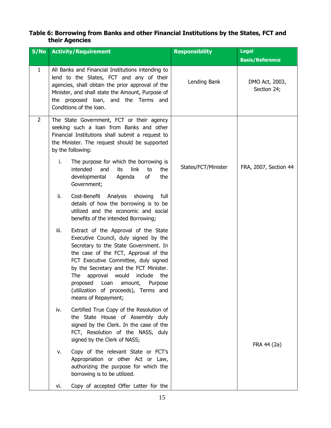#### **Table 6: Borrowing from Banks and other Financial Institutions by the States, FCT and their Agencies**

| S/NO         |      | <b>Activity/Requirement</b>                                                                                                                                                                                                                                                                                                                                                                    | <b>Responsibility</b> | <b>Legal</b>                  |
|--------------|------|------------------------------------------------------------------------------------------------------------------------------------------------------------------------------------------------------------------------------------------------------------------------------------------------------------------------------------------------------------------------------------------------|-----------------------|-------------------------------|
|              |      |                                                                                                                                                                                                                                                                                                                                                                                                |                       | <b>Basis/Reference</b>        |
| $\mathbf{1}$ |      | All Banks and Financial Institutions intending to<br>lend to the States, FCT and any of their<br>agencies, shall obtain the prior approval of the<br>Minister, and shall state the Amount, Purpose of<br>the proposed loan, and the Terms and<br>Conditions of the loan.                                                                                                                       | Lending Bank          | DMO Act, 2003,<br>Section 24; |
| 2            |      | The State Government, FCT or their agency<br>seeking such a loan from Banks and other<br>Financial Institutions shall submit a request to<br>the Minister. The request should be supported<br>by the following:                                                                                                                                                                                |                       |                               |
|              | i.   | The purpose for which the borrowing is<br>intended<br>link<br>and<br>its<br>to<br>the<br>developmental<br>Agenda<br>of<br>the<br>Government;                                                                                                                                                                                                                                                   | States/FCT/Minister   | FRA, 2007, Section 44         |
|              | ii.  | Analysis showing<br>Cost-Benefit<br>full<br>details of how the borrowing is to be<br>utilized and the economic and social<br>benefits of the intended Borrowing;                                                                                                                                                                                                                               |                       |                               |
|              | iii. | Extract of the Approval of the State<br>Executive Council, duly signed by the<br>Secretary to the State Government. In<br>the case of the FCT, Approval of the<br>FCT Executive Committee, duly signed<br>by the Secretary and the FCT Minister.<br>approval would<br>include<br>The<br>the<br>proposed<br>Loan amount, Purpose<br>(utilization of proceeds), Terms and<br>means of Repayment; |                       |                               |
|              | iv.  | Certified True Copy of the Resolution of<br>the State House of Assembly duly<br>signed by the Clerk. In the case of the<br>FCT, Resolution of the NASS, duly<br>signed by the Clerk of NASS;                                                                                                                                                                                                   |                       |                               |
|              | ٧.   | Copy of the relevant State or FCT's<br>Appropriation or other Act or Law,<br>authorizing the purpose for which the<br>borrowing is to be utilized.                                                                                                                                                                                                                                             |                       | FRA 44 (2a)                   |
|              | vi.  | Copy of accepted Offer Letter for the                                                                                                                                                                                                                                                                                                                                                          |                       |                               |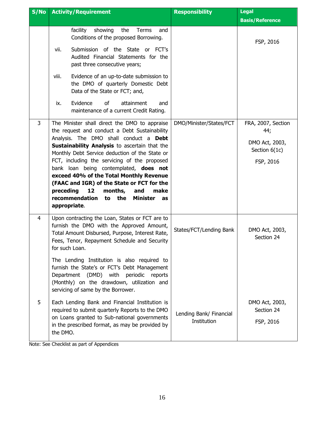| S/No           | <b>Activity/Requirement</b>                                                                                                                                                                                               | <b>Responsibility</b>                  | <b>Legal</b>                              |
|----------------|---------------------------------------------------------------------------------------------------------------------------------------------------------------------------------------------------------------------------|----------------------------------------|-------------------------------------------|
|                |                                                                                                                                                                                                                           |                                        | <b>Basis/Reference</b>                    |
|                | showing<br>facility<br>the<br>Terms<br>and<br>Conditions of the proposed Borrowing.<br>Submission of the State or FCT's<br>vii.<br>Audited Financial Statements for the                                                   |                                        | FSP, 2016                                 |
|                | past three consecutive years;                                                                                                                                                                                             |                                        |                                           |
|                | Evidence of an up-to-date submission to<br>viii.<br>the DMO of quarterly Domestic Debt<br>Data of the State or FCT; and,                                                                                                  |                                        |                                           |
|                | Evidence<br>of<br>attainment<br>ix.<br>and<br>maintenance of a current Credit Rating.                                                                                                                                     |                                        |                                           |
| 3              | The Minister shall direct the DMO to appraise<br>the request and conduct a Debt Sustainability                                                                                                                            | DMO/Minister/States/FCT                | FRA, 2007, Section<br>44;                 |
|                | Analysis. The DMO shall conduct a Debt<br>Sustainability Analysis to ascertain that the<br>Monthly Debt Service deduction of the State or                                                                                 |                                        | DMO Act, 2003,<br>Section 6(1c)           |
|                | FCT, including the servicing of the proposed<br>bank loan being contemplated, does not                                                                                                                                    |                                        | FSP, 2016                                 |
|                | exceed 40% of the Total Monthly Revenue<br>(FAAC and IGR) of the State or FCT for the                                                                                                                                     |                                        |                                           |
|                | 12<br>preceding<br>months,<br>and<br>make<br>recommendation<br>the<br><b>Minister</b><br>to<br>as<br>appropriate.                                                                                                         |                                        |                                           |
| $\overline{4}$ | Upon contracting the Loan, States or FCT are to<br>furnish the DMO with the Approved Amount,<br>Total Amount Disbursed, Purpose, Interest Rate,<br>Fees, Tenor, Repayment Schedule and Security<br>for such Loan.         | States/FCT/Lending Bank                | DMO Act, 2003,<br>Section 24              |
|                | The Lending Institution is also required to<br>furnish the State's or FCT's Debt Management<br>Department (DMD) with periodic reports<br>(Monthly) on the drawdown, utilization and<br>servicing of same by the Borrower. |                                        |                                           |
| 5              | Each Lending Bank and Financial Institution is<br>required to submit quarterly Reports to the DMO<br>on Loans granted to Sub-national governments<br>in the prescribed format, as may be provided by<br>the DMO.          | Lending Bank/ Financial<br>Institution | DMO Act, 2003,<br>Section 24<br>FSP, 2016 |

Note: See Checklist as part of Appendices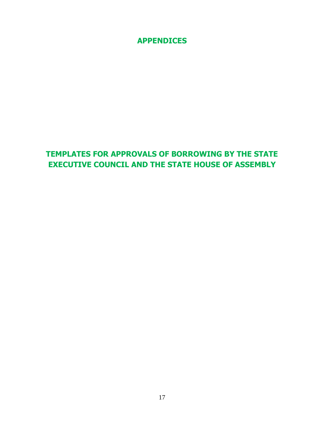**APPENDICES**

## **TEMPLATES FOR APPROVALS OF BORROWING BY THE STATE EXECUTIVE COUNCIL AND THE STATE HOUSE OF ASSEMBLY**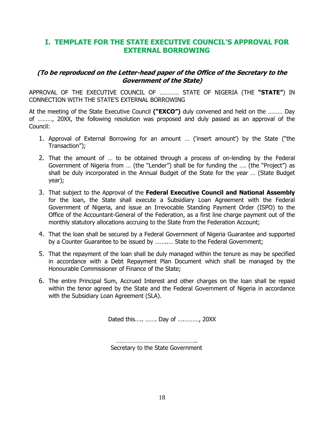## **I. TEMPLATE FOR THE STATE EXECUTIVE COUNCIL'S APPROVAL FOR EXTERNAL BORROWING**

#### **(To be reproduced on the Letter-head paper of the Office of the Secretary to the Government of the State)**

APPROVAL OF THE EXECUTIVE COUNCIL OF ………… STATE OF NIGERIA (THE **"STATE"**) IN CONNECTION WITH THE STATE'S EXTERNAL BORROWING

At the meeting of the State Executive Council **("EXCO")** duly convened and held on the ……… Day of ………, 20XX, the following resolution was proposed and duly passed as an approval of the Council:

- 1. Approval of External Borrowing for an amount … ('insert amount') by the State ("the Transaction");
- 2. That the amount of … to be obtained through a process of on-lending by the Federal Government of Nigeria from … (the "Lender") shall be for funding the …. (the "Project") as shall be duly incorporated in the Annual Budget of the State for the year … (State Budget year);
- 3. That subject to the Approval of the **Federal Executive Council and National Assembly** for the loan, the State shall execute a Subsidiary Loan Agreement with the Federal Government of Nigeria, and issue an Irrevocable Standing Payment Order (ISPO) to the Office of the Accountant-General of the Federation, as a first line charge payment out of the monthly statutory allocations accruing to the State from the Federation Account;
- 4. That the loan shall be secured by a Federal Government of Nigeria Guarantee and supported by a Counter Guarantee to be issued by ……..… State to the Federal Government;
- 5. That the repayment of the loan shall be duly managed within the tenure as may be specified in accordance with a Debt Repayment Plan Document which shall be managed by the Honourable Commissioner of Finance of the State;
- 6. The entire Principal Sum, Accrued Interest and other charges on the loan shall be repaid within the tenor agreed by the State and the Federal Government of Nigeria in accordance with the Subsidiary Loan Agreement (SLA).

Dated this….. ……. Day of ….………, 20XX

……………………………………………… Secretary to the State Government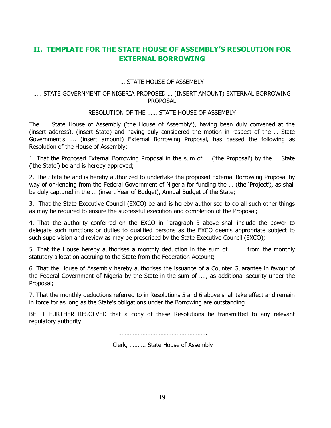## **II. TEMPLATE FOR THE STATE HOUSE OF ASSEMBLY'S RESOLUTION FOR EXTERNAL BORROWING**

… STATE HOUSE OF ASSEMBLY

#### ….. STATE GOVERNMENT OF NIGERIA PROPOSED … (INSERT AMOUNT) EXTERNAL BORROWING PROPOSAL

#### RESOLUTION OF THE …… STATE HOUSE OF ASSEMBLY

The …. State House of Assembly ('the House of Assembly'), having been duly convened at the (insert address), (insert State) and having duly considered the motion in respect of the … State Government's …. (insert amount) External Borrowing Proposal, has passed the following as Resolution of the House of Assembly:

1. That the Proposed External Borrowing Proposal in the sum of … ('the Proposal') by the … State ('the State') be and is hereby approved;

2. The State be and is hereby authorized to undertake the proposed External Borrowing Proposal by way of on-lending from the Federal Government of Nigeria for funding the … (the 'Project'), as shall be duly captured in the … (insert Year of Budget), Annual Budget of the State;

3. That the State Executive Council (EXCO) be and is hereby authorised to do all such other things as may be required to ensure the successful execution and completion of the Proposal;

4. That the authority conferred on the EXCO in Paragraph 3 above shall include the power to delegate such functions or duties to qualified persons as the EXCO deems appropriate subject to such supervision and review as may be prescribed by the State Executive Council (EXCO);

5. That the House hereby authorises a monthly deduction in the sum of ……… from the monthly statutory allocation accruing to the State from the Federation Account;

6. That the House of Assembly hereby authorises the issuance of a Counter Guarantee in favour of the Federal Government of Nigeria by the State in the sum of …., as additional security under the Proposal;

7. That the monthly deductions referred to in Resolutions 5 and 6 above shall take effect and remain in force for as long as the State's obligations under the Borrowing are outstanding.

BE IT FURTHER RESOLVED that a copy of these Resolutions be transmitted to any relevant regulatory authority.

……………………………………………….

Clerk, ………. State House of Assembly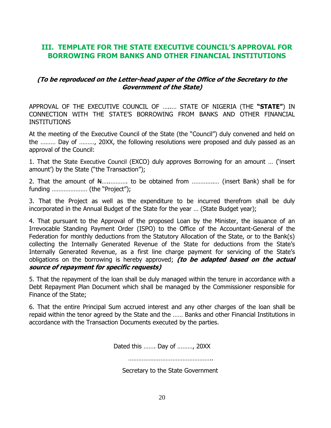## **III. TEMPLATE FOR THE STATE EXECUTIVE COUNCIL'S APPROVAL FOR BORROWING FROM BANKS AND OTHER FINANCIAL INSTITUTIONS**

### **(To be reproduced on the Letter-head paper of the Office of the Secretary to the Government of the State)**

APPROVAL OF THE EXECUTIVE COUNCIL OF …..… STATE OF NIGERIA (THE **"STATE"**) IN CONNECTION WITH THE STATE'S BORROWING FROM BANKS AND OTHER FINANCIAL INSTITUTIONS

At the meeting of the Executive Council of the State (the "Council") duly convened and held on the ……… Day of ………, 20XX, the following resolutions were proposed and duly passed as an approval of the Council:

1. That the State Executive Council (EXCO) duly approves Borrowing for an amount … ('insert amount') by the State ("the Transaction");

2. That the amount of N............... to be obtained from ................. (insert Bank) shall be for funding ………………… (the "Project");

3. That the Project as well as the expenditure to be incurred therefrom shall be duly incorporated in the Annual Budget of the State for the year … (State Budget year);

4. That pursuant to the Approval of the proposed Loan by the Minister, the issuance of an Irrevocable Standing Payment Order (ISPO) to the Office of the Accountant-General of the Federation for monthly deductions from the Statutory Allocation of the State, or to the Bank(s) collecting the Internally Generated Revenue of the State for deductions from the State's Internally Generated Revenue, as a first line charge payment for servicing of the State's obligations on the borrowing is hereby approved; **(to be adapted based on the actual source of repayment for specific requests)**

5. That the repayment of the loan shall be duly managed within the tenure in accordance with a Debt Repayment Plan Document which shall be managed by the Commissioner responsible for Finance of the State;

6. That the entire Principal Sum accrued interest and any other charges of the loan shall be repaid within the tenor agreed by the State and the …… Banks and other Financial Institutions in accordance with the Transaction Documents executed by the parties.

Dated this ……. Day of ………, 20XX

…………………………………………

Secretary to the State Government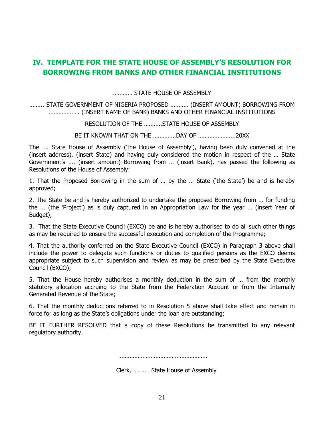## **IV. TEMPLATE FOR THE STATE HOUSE OF ASSEMBLY'S RESOLUTION FOR BORROWING FROM BANKS AND OTHER FINANCIAL INSTITUTIONS**

………… STATE HOUSE OF ASSEMBLY

……... STATE GOVERNMENT OF NIGERIA PROPOSED ……….. (INSERT AMOUNT) BORROWING FROM ………………. (INSERT NAME OF BANK) BANKS AND OTHER FINANCIAL INSTITUTIONS

RESOLUTION OF THE ………..STATE HOUSE OF ASSEMBLY

BE IT KNOWN THAT ON THE …………..DAY OF …………………..20XX

The …. State House of Assembly ('the House of Assembly'), having been duly convened at the (insert address), (insert State) and having duly considered the motion in respect of the … State Government's …. (insert amount) Borrowing from … (insert Bank), has passed the following as Resolutions of the House of Assembly:

1. That the Proposed Borrowing in the sum of … by the … State ('the State') be and is hereby approved;

2. The State be and is hereby authorized to undertake the proposed Borrowing from … for funding the … (the 'Project') as is duly captured in an Appropriation Law for the year … (insert Year of Budget);

3. That the State Executive Council (EXCO) be and is hereby authorised to do all such other things as may be required to ensure the successful execution and completion of the Programme;

4. That the authority conferred on the State Executive Council (EXCO) in Paragraph 3 above shall include the power to delegate such functions or duties to qualified persons as the EXCO deems appropriate subject to such supervision and review as may be prescribed by the State Executive Council (EXCO);

5. That the House hereby authorises a monthly deduction in the sum of … from the monthly statutory allocation accruing to the State from the Federation Account or from the Internally Generated Revenue of the State;

6. That the monthly deductions referred to in Resolution 5 above shall take effect and remain in force for as long as the State's obligations under the loan are outstanding;

BE IT FURTHER RESOLVED that a copy of these Resolutions be transmitted to any relevant regulatory authority.

……………………………………………….

Clerk, …….… State House of Assembly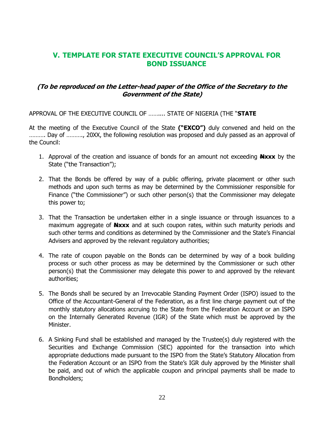## **V. TEMPLATE FOR STATE EXECUTIVE COUNCIL'S APPROVAL FOR BOND ISSUANCE**

### **(To be reproduced on the Letter-head paper of the Office of the Secretary to the Government of the State)**

APPROVAL OF THE EXECUTIVE COUNCIL OF …….... STATE OF NIGERIA (THE "**STATE**

At the meeting of the Executive Council of the State **("EXCO")** duly convened and held on the ………. Day of ………., 20XX, the following resolution was proposed and duly passed as an approval of the Council:

- 1. Approval of the creation and issuance of bonds for an amount not exceeding **Nxxx** by the State ("the Transaction");
- 2. That the Bonds be offered by way of a public offering, private placement or other such methods and upon such terms as may be determined by the Commissioner responsible for Finance ("the Commissioner") or such other person(s) that the Commissioner may delegate this power to;
- 3. That the Transaction be undertaken either in a single issuance or through issuances to a maximum aggregate of **Nxxx** and at such coupon rates, within such maturity periods and such other terms and conditions as determined by the Commissioner and the State's Financial Advisers and approved by the relevant regulatory authorities;
- 4. The rate of coupon payable on the Bonds can be determined by way of a book building process or such other process as may be determined by the Commissioner or such other person(s) that the Commissioner may delegate this power to and approved by the relevant authorities;
- 5. The Bonds shall be secured by an Irrevocable Standing Payment Order (ISPO) issued to the Office of the Accountant-General of the Federation, as a first line charge payment out of the monthly statutory allocations accruing to the State from the Federation Account or an ISPO on the Internally Generated Revenue (IGR) of the State which must be approved by the Minister.
- 6. A Sinking Fund shall be established and managed by the Trustee(s) duly registered with the Securities and Exchange Commission (SEC) appointed for the transaction into which appropriate deductions made pursuant to the ISPO from the State's Statutory Allocation from the Federation Account or an ISPO from the State's IGR duly approved by the Minister shall be paid, and out of which the applicable coupon and principal payments shall be made to Bondholders;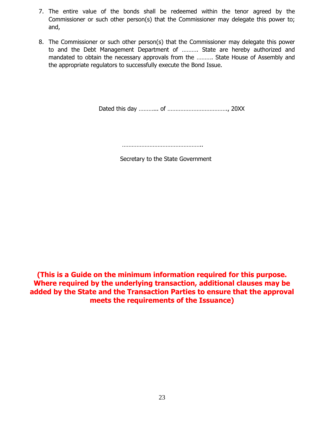- 7. The entire value of the bonds shall be redeemed within the tenor agreed by the Commissioner or such other person(s) that the Commissioner may delegate this power to; and,
- 8. The Commissioner or such other person(s) that the Commissioner may delegate this power to and the Debt Management Department of ………. State are hereby authorized and mandated to obtain the necessary approvals from the ………. State House of Assembly and the appropriate regulators to successfully execute the Bond Issue.

Dated this day ………... of ………………………………., 20XX

……………………………………………

Secretary to the State Government

**(This is a Guide on the minimum information required for this purpose. Where required by the underlying transaction, additional clauses may be added by the State and the Transaction Parties to ensure that the approval meets the requirements of the Issuance)**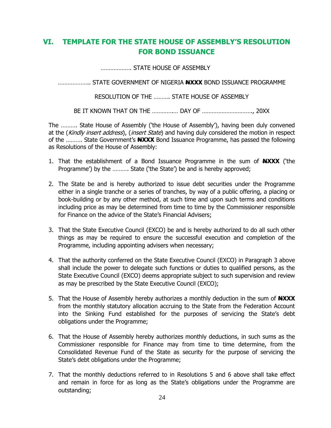## **VI. TEMPLATE FOR THE STATE HOUSE OF ASSEMBLY'S RESOLUTION FOR BOND ISSUANCE**

………………. STATE HOUSE OF ASSEMBLY

……………….. STATE GOVERNMENT OF NIGERIA **NXXX** BOND ISSUANCE PROGRAMME

RESOLUTION OF THE ………. STATE HOUSE OF ASSEMBLY

BE IT KNOWN THAT ON THE ………….… DAY OF …………………………., 20XX

The ………. State House of Assembly ('the House of Assembly'), having been duly convened at the (Kindly insert address), (insert State) and having duly considered the motion in respect of the ………. State Government's **NXXX** Bond Issuance Programme, has passed the following as Resolutions of the House of Assembly:

- 1. That the establishment of a Bond Issuance Programme in the sum of **NXXX** ('the Programme') by the ………. State ('the State') be and is hereby approved;
- 2. The State be and is hereby authorized to issue debt securities under the Programme either in a single tranche or a series of tranches, by way of a public offering, a placing or book-building or by any other method, at such time and upon such terms and conditions including price as may be determined from time to time by the Commissioner responsible for Finance on the advice of the State's Financial Advisers;
- 3. That the State Executive Council (EXCO) be and is hereby authorized to do all such other things as may be required to ensure the successful execution and completion of the Programme, including appointing advisers when necessary;
- 4. That the authority conferred on the State Executive Council (EXCO) in Paragraph 3 above shall include the power to delegate such functions or duties to qualified persons, as the State Executive Council (EXCO) deems appropriate subject to such supervision and review as may be prescribed by the State Executive Council (EXCO);
- 5. That the House of Assembly hereby authorizes a monthly deduction in the sum of **NXXX** from the monthly statutory allocation accruing to the State from the Federation Account into the Sinking Fund established for the purposes of servicing the State's debt obligations under the Programme;
- 6. That the House of Assembly hereby authorizes monthly deductions, in such sums as the Commissioner responsible for Finance may from time to time determine, from the Consolidated Revenue Fund of the State as security for the purpose of servicing the State's debt obligations under the Programme;
- 7. That the monthly deductions referred to in Resolutions 5 and 6 above shall take effect and remain in force for as long as the State's obligations under the Programme are outstanding;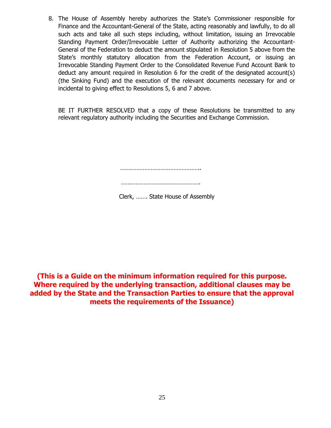8. The House of Assembly hereby authorizes the State's Commissioner responsible for Finance and the Accountant-General of the State, acting reasonably and lawfully, to do all such acts and take all such steps including, without limitation, issuing an Irrevocable Standing Payment Order/Irrevocable Letter of Authority authorizing the Accountant-General of the Federation to deduct the amount stipulated in Resolution 5 above from the State's monthly statutory allocation from the Federation Account, or issuing an Irrevocable Standing Payment Order to the Consolidated Revenue Fund Account Bank to deduct any amount required in Resolution 6 for the credit of the designated account(s) (the Sinking Fund) and the execution of the relevant documents necessary for and or incidental to giving effect to Resolutions 5, 6 and 7 above.

BE IT FURTHER RESOLVED that a copy of these Resolutions be transmitted to any relevant regulatory authority including the Securities and Exchange Commission.

………………………………………………………

………………………………………….

Clerk, ……. State House of Assembly

**(This is a Guide on the minimum information required for this purpose. Where required by the underlying transaction, additional clauses may be added by the State and the Transaction Parties to ensure that the approval meets the requirements of the Issuance)**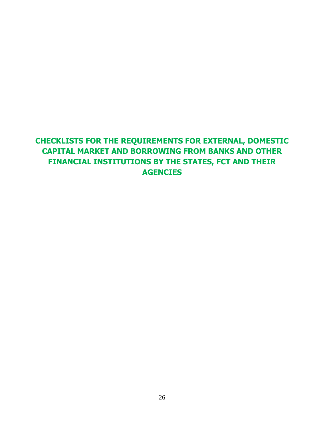# **CHECKLISTS FOR THE REQUIREMENTS FOR EXTERNAL, DOMESTIC CAPITAL MARKET AND BORROWING FROM BANKS AND OTHER FINANCIAL INSTITUTIONS BY THE STATES, FCT AND THEIR AGENCIES**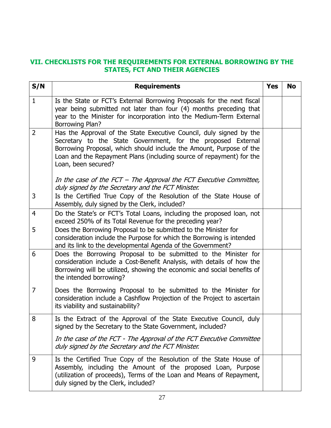### **VII. CHECKLISTS FOR THE REQUIREMENTS FOR EXTERNAL BORROWING BY THE STATES, FCT AND THEIR AGENCIES**

| S/N            | <b>Requirements</b>                                                                                                                                                                                                                                                                                       | <b>Yes</b> | <b>No</b> |
|----------------|-----------------------------------------------------------------------------------------------------------------------------------------------------------------------------------------------------------------------------------------------------------------------------------------------------------|------------|-----------|
| $\mathbf{1}$   | Is the State or FCT's External Borrowing Proposals for the next fiscal<br>year being submitted not later than four (4) months preceding that<br>year to the Minister for incorporation into the Medium-Term External<br>Borrowing Plan?                                                                   |            |           |
| $\overline{2}$ | Has the Approval of the State Executive Council, duly signed by the<br>Secretary to the State Government, for the proposed External<br>Borrowing Proposal, which should include the Amount, Purpose of the<br>Loan and the Repayment Plans (including source of repayment) for the<br>Loan, been secured? |            |           |
|                | In the case of the FCT $-$ The Approval the FCT Executive Committee,<br>duly signed by the Secretary and the FCT Minister.                                                                                                                                                                                |            |           |
| 3              | Is the Certified True Copy of the Resolution of the State House of<br>Assembly, duly signed by the Clerk, included?                                                                                                                                                                                       |            |           |
| $\overline{4}$ | Do the State's or FCT's Total Loans, including the proposed loan, not<br>exceed 250% of its Total Revenue for the preceding year?                                                                                                                                                                         |            |           |
| 5              | Does the Borrowing Proposal to be submitted to the Minister for<br>consideration include the Purpose for which the Borrowing is intended<br>and its link to the developmental Agenda of the Government?                                                                                                   |            |           |
| 6              | Does the Borrowing Proposal to be submitted to the Minister for<br>consideration include a Cost-Benefit Analysis, with details of how the<br>Borrowing will be utilized, showing the economic and social benefits of<br>the intended borrowing?                                                           |            |           |
| $\overline{7}$ | Does the Borrowing Proposal to be submitted to the Minister for<br>consideration include a Cashflow Projection of the Project to ascertain<br>its viability and sustainability?                                                                                                                           |            |           |
| 8              | Is the Extract of the Approval of the State Executive Council, duly<br>signed by the Secretary to the State Government, included?                                                                                                                                                                         |            |           |
|                | In the case of the FCT - The Approval of the FCT Executive Committee<br>duly signed by the Secretary and the FCT Minister.                                                                                                                                                                                |            |           |
| 9              | Is the Certified True Copy of the Resolution of the State House of<br>Assembly, including the Amount of the proposed Loan, Purpose<br>(utilization of proceeds), Terms of the Loan and Means of Repayment,<br>duly signed by the Clerk, included?                                                         |            |           |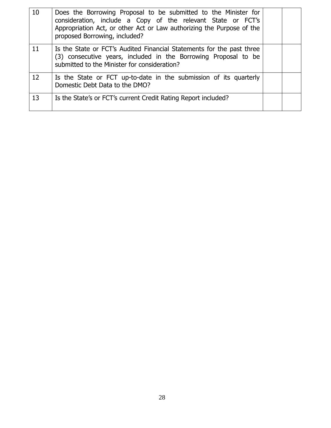| 10 | Does the Borrowing Proposal to be submitted to the Minister for<br>consideration, include a Copy of the relevant State or FCT's<br>Appropriation Act, or other Act or Law authorizing the Purpose of the<br>proposed Borrowing, included? |  |
|----|-------------------------------------------------------------------------------------------------------------------------------------------------------------------------------------------------------------------------------------------|--|
| 11 | Is the State or FCT's Audited Financial Statements for the past three<br>(3) consecutive years, included in the Borrowing Proposal to be<br>submitted to the Minister for consideration?                                                  |  |
| 12 | Is the State or FCT up-to-date in the submission of its quarterly<br>Domestic Debt Data to the DMO?                                                                                                                                       |  |
| 13 | Is the State's or FCT's current Credit Rating Report included?                                                                                                                                                                            |  |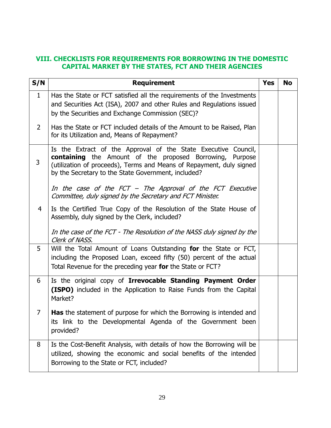## **VIII. CHECKLISTS FOR REQUIREMENTS FOR BORROWING IN THE DOMESTIC CAPITAL MARKET BY THE STATES, FCT AND THEIR AGENCIES**

| S/N            | <b>Requirement</b>                                                                                                                                                                                                                                                                                                             | <b>Yes</b> | <b>No</b> |
|----------------|--------------------------------------------------------------------------------------------------------------------------------------------------------------------------------------------------------------------------------------------------------------------------------------------------------------------------------|------------|-----------|
| $\mathbf{1}$   | Has the State or FCT satisfied all the requirements of the Investments<br>and Securities Act (ISA), 2007 and other Rules and Regulations issued<br>by the Securities and Exchange Commission (SEC)?                                                                                                                            |            |           |
| $\overline{2}$ | Has the State or FCT included details of the Amount to be Raised, Plan<br>for its Utilization and, Means of Repayment?                                                                                                                                                                                                         |            |           |
| 3              | Is the Extract of the Approval of the State Executive Council,<br><b>containing</b> the Amount of the proposed Borrowing, Purpose<br>(utilization of proceeds), Terms and Means of Repayment, duly signed<br>by the Secretary to the State Government, included?<br>In the case of the FCT – The Approval of the FCT Executive |            |           |
|                | Committee, duly signed by the Secretary and FCT Minister.                                                                                                                                                                                                                                                                      |            |           |
| $\overline{4}$ | Is the Certified True Copy of the Resolution of the State House of<br>Assembly, duly signed by the Clerk, included?<br>In the case of the FCT - The Resolution of the NASS duly signed by the<br>Clerk of NASS.                                                                                                                |            |           |
| 5              | Will the Total Amount of Loans Outstanding for the State or FCT,<br>including the Proposed Loan, exceed fifty (50) percent of the actual<br>Total Revenue for the preceding year for the State or FCT?                                                                                                                         |            |           |
| 6              | Is the original copy of Irrevocable Standing Payment Order<br>(ISPO) included in the Application to Raise Funds from the Capital<br>Market?                                                                                                                                                                                    |            |           |
| 7              | <b>Has</b> the statement of purpose for which the Borrowing is intended and<br>its link to the Developmental Agenda of the Government been<br>provided?                                                                                                                                                                        |            |           |
| 8              | Is the Cost-Benefit Analysis, with details of how the Borrowing will be<br>utilized, showing the economic and social benefits of the intended<br>Borrowing to the State or FCT, included?                                                                                                                                      |            |           |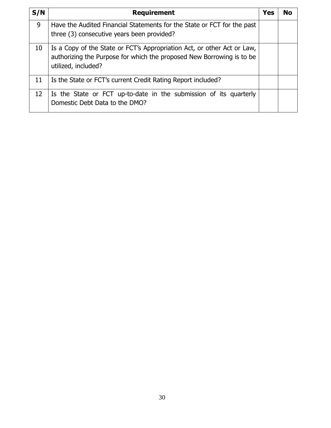| S/N | <b>Requirement</b>                                                                                                                                                      | <b>Yes</b> | <b>No</b> |
|-----|-------------------------------------------------------------------------------------------------------------------------------------------------------------------------|------------|-----------|
| 9   | Have the Audited Financial Statements for the State or FCT for the past<br>three (3) consecutive years been provided?                                                   |            |           |
| 10  | Is a Copy of the State or FCT's Appropriation Act, or other Act or Law,<br>authorizing the Purpose for which the proposed New Borrowing is to be<br>utilized, included? |            |           |
| 11  | Is the State or FCT's current Credit Rating Report included?                                                                                                            |            |           |
| 12  | Is the State or FCT up-to-date in the submission of its quarterly<br>Domestic Debt Data to the DMO?                                                                     |            |           |